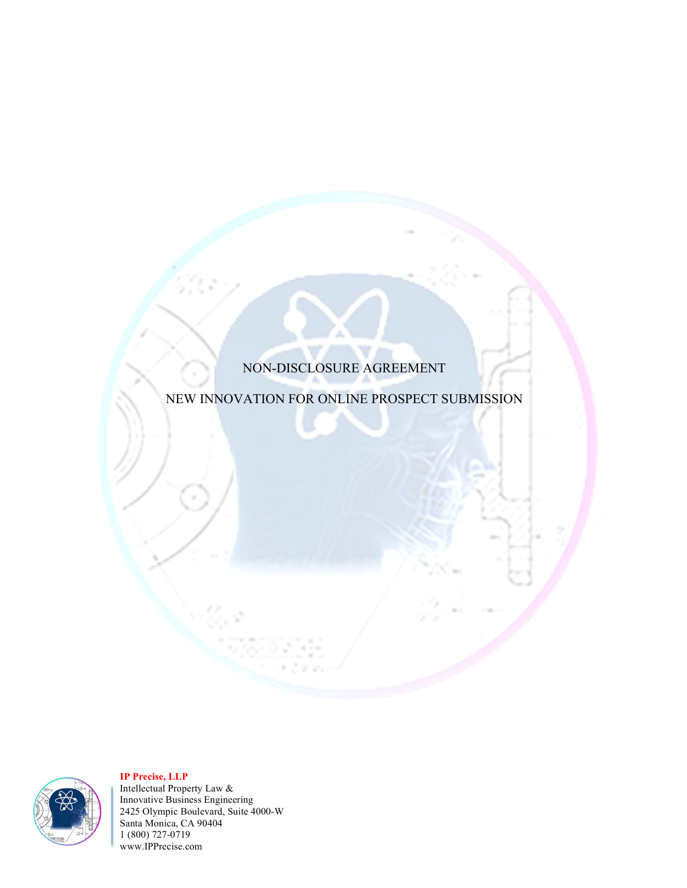# NON-DISCLOSURE AGREEMENT

# NEW INNOVATION FOR ONLINE PROSPECT SUBMISSION



**IP Precise, LLP** 

Intellectual Property Law & Innovative Business Engineering 2425 Olympic Boulevard, Suite 4000-W Santa Monica, CA 90404 1 (800) 727-0719 www.IPPrecise.com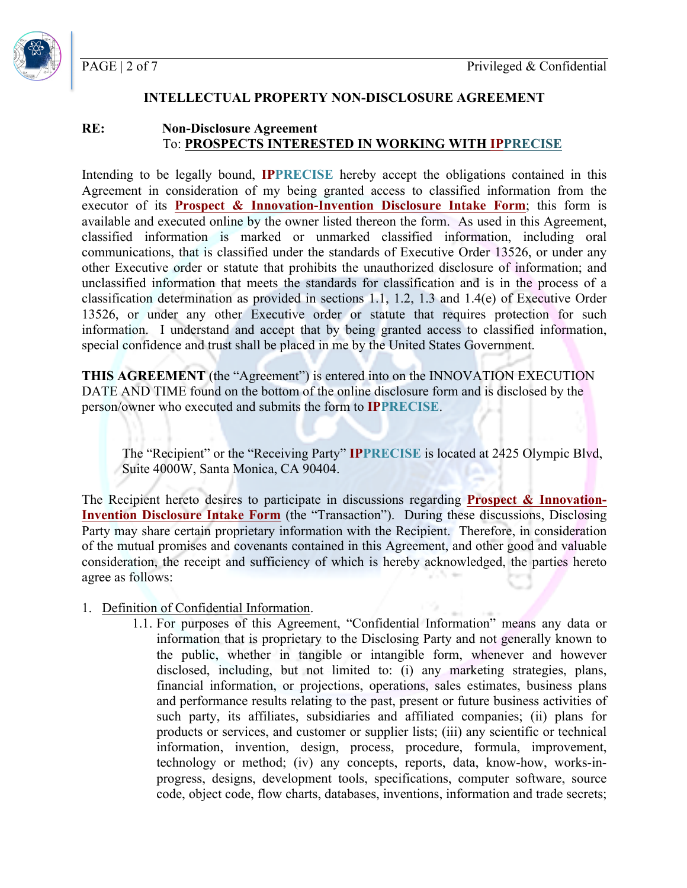PAGE | 2 of 7

#### **INTELLECTUAL PROPERTY NON-DISCLOSURE AGREEMENT**

#### **RE: Non-Disclosure Agreement** To: **PROSPECTS INTERESTED IN WORKING WITH IPPRECISE**

Intending to be legally bound, **IPPRECISE** hereby accept the obligations contained in this Agreement in consideration of my being granted access to classified information from the executor of its **Prospect & Innovation-Invention Disclosure Intake Form**; this form is available and executed online by the owner listed thereon the form. As used in this Agreement, classified information is marked or unmarked classified information, including oral communications, that is classified under the standards of Executive Order 13526, or under any other Executive order or statute that prohibits the unauthorized disclosure of information; and unclassified information that meets the standards for classification and is in the process of a classification determination as provided in sections 1.1, 1.2, 1.3 and 1.4(e) of Executive Order 13526, or under any other Executive order or statute that requires protection for such information. I understand and accept that by being granted access to classified information, special confidence and trust shall be placed in me by the United States Government.

**THIS AGREEMENT** (the "Agreement") is entered into on the INNOVATION EXECUTION DATE AND TIME found on the bottom of the online disclosure form and is disclosed by the person/owner who executed and submits the form to **IPPRECISE**.

The "Recipient" or the "Receiving Party" **IPPRECISE** is located at 2425 Olympic Blvd, Suite 4000W, Santa Monica, CA 90404.

The Recipient hereto desires to participate in discussions regarding **Prospect & Innovation-Invention Disclosure Intake Form** (the "Transaction"). During these discussions, Disclosing Party may share certain proprietary information with the Recipient. Therefore, in consideration of the mutual promises and covenants contained in this Agreement, and other good and valuable consideration, the receipt and sufficiency of which is hereby acknowledged, the parties hereto agree as follows:

#### 1. Definition of Confidential Information.

1.1. For purposes of this Agreement, "Confidential Information" means any data or information that is proprietary to the Disclosing Party and not generally known to the public, whether in tangible or intangible form, whenever and however disclosed, including, but not limited to: (i) any marketing strategies, plans, financial information, or projections, operations, sales estimates, business plans and performance results relating to the past, present or future business activities of such party, its affiliates, subsidiaries and affiliated companies; (ii) plans for products or services, and customer or supplier lists; (iii) any scientific or technical information, invention, design, process, procedure, formula, improvement, technology or method; (iv) any concepts, reports, data, know-how, works-inprogress, designs, development tools, specifications, computer software, source code, object code, flow charts, databases, inventions, information and trade secrets;

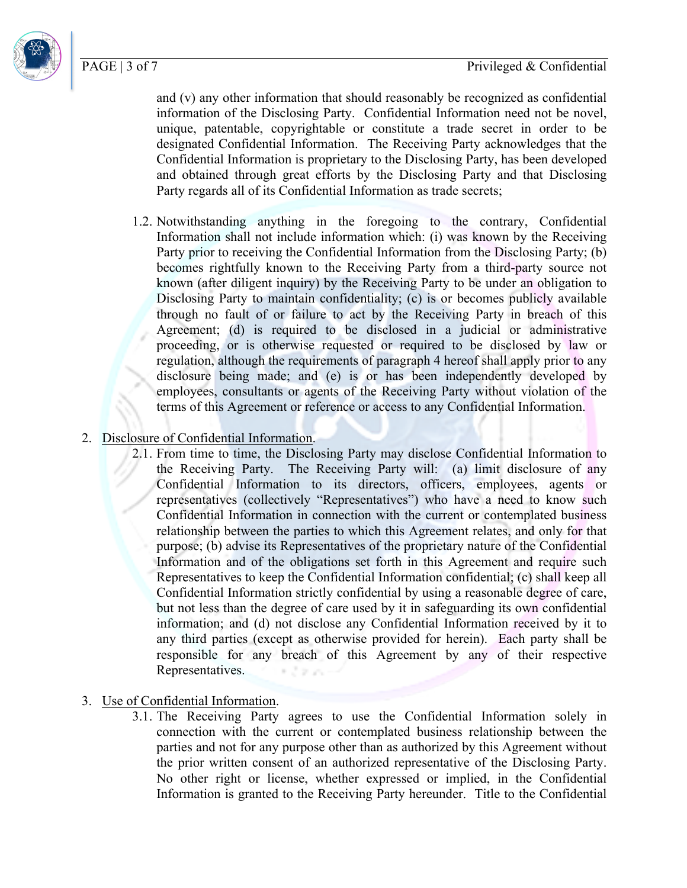PAGE | 3 of 7



and (v) any other information that should reasonably be recognized as confidential information of the Disclosing Party. Confidential Information need not be novel, unique, patentable, copyrightable or constitute a trade secret in order to be designated Confidential Information. The Receiving Party acknowledges that the Confidential Information is proprietary to the Disclosing Party, has been developed and obtained through great efforts by the Disclosing Party and that Disclosing Party regards all of its Confidential Information as trade secrets;

- 1.2. Notwithstanding anything in the foregoing to the contrary, Confidential Information shall not include information which: (i) was known by the Receiving Party prior to receiving the Confidential Information from the Disclosing Party; (b) becomes rightfully known to the Receiving Party from a third-party source not known (after diligent inquiry) by the Receiving Party to be under an obligation to Disclosing Party to maintain confidentiality; (c) is or becomes publicly available through no fault of or failure to act by the Receiving Party in breach of this Agreement; (d) is required to be disclosed in a judicial or administrative proceeding, or is otherwise requested or required to be disclosed by law or regulation, although the requirements of paragraph 4 hereof shall apply prior to any disclosure being made; and (e) is or has been independently developed by employees, consultants or agents of the Receiving Party without violation of the terms of this Agreement or reference or access to any Confidential Information.
- 2. Disclosure of Confidential Information.
	- 2.1. From time to time, the Disclosing Party may disclose Confidential Information to the Receiving Party. The Receiving Party will: (a) limit disclosure of any Confidential Information to its directors, officers, employees, agents or representatives (collectively "Representatives") who have a need to know such Confidential Information in connection with the current or contemplated business relationship between the parties to which this Agreement relates, and only for that purpose; (b) advise its Representatives of the proprietary nature of the Confidential Information and of the obligations set forth in this Agreement and require such Representatives to keep the Confidential Information confidential; (c) shall keep all Confidential Information strictly confidential by using a reasonable degree of care, but not less than the degree of care used by it in safeguarding its own confidential information; and (d) not disclose any Confidential Information received by it to any third parties (except as otherwise provided for herein). Each party shall be responsible for any breach of this Agreement by any of their respective Representatives.
- 3. Use of Confidential Information.
	- 3.1. The Receiving Party agrees to use the Confidential Information solely in connection with the current or contemplated business relationship between the parties and not for any purpose other than as authorized by this Agreement without the prior written consent of an authorized representative of the Disclosing Party. No other right or license, whether expressed or implied, in the Confidential Information is granted to the Receiving Party hereunder. Title to the Confidential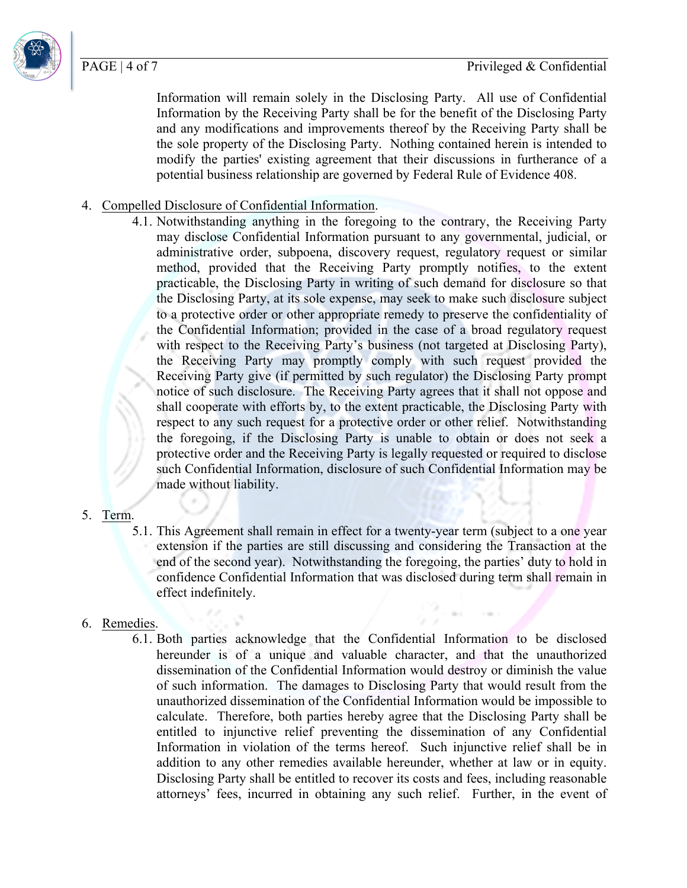Information will remain solely in the Disclosing Party. All use of Confidential Information by the Receiving Party shall be for the benefit of the Disclosing Party and any modifications and improvements thereof by the Receiving Party shall be the sole property of the Disclosing Party. Nothing contained herein is intended to modify the parties' existing agreement that their discussions in furtherance of a potential business relationship are governed by Federal Rule of Evidence 408.

## 4. Compelled Disclosure of Confidential Information.

4.1. Notwithstanding anything in the foregoing to the contrary, the Receiving Party may disclose Confidential Information pursuant to any governmental, judicial, or administrative order, subpoena, discovery request, regulatory request or similar method, provided that the Receiving Party promptly notifies, to the extent practicable, the Disclosing Party in writing of such demand for disclosure so that the Disclosing Party, at its sole expense, may seek to make such disclosure subject to a protective order or other appropriate remedy to preserve the confidentiality of the Confidential Information; provided in the case of a broad regulatory request with respect to the Receiving Party's business (not targeted at Disclosing Party), the Receiving Party may promptly comply with such request provided the Receiving Party give (if permitted by such regulator) the Disclosing Party prompt notice of such disclosure. The Receiving Party agrees that it shall not oppose and shall cooperate with efforts by, to the extent practicable, the Disclosing Party with respect to any such request for a protective order or other relief. Notwithstanding the foregoing, if the Disclosing Party is unable to obtain or does not seek a protective order and the Receiving Party is legally requested or required to disclose such Confidential Information, disclosure of such Confidential Information may be made without liability.

### 5. Term.

5.1. This Agreement shall remain in effect for a twenty-year term (subject to a one year extension if the parties are still discussing and considering the Transaction at the end of the second year). Notwithstanding the foregoing, the parties' duty to hold in confidence Confidential Information that was disclosed during term shall remain in effect indefinitely.

# 6. Remedies.

6.1. Both parties acknowledge that the Confidential Information to be disclosed hereunder is of a unique and valuable character, and that the unauthorized dissemination of the Confidential Information would destroy or diminish the value of such information. The damages to Disclosing Party that would result from the unauthorized dissemination of the Confidential Information would be impossible to calculate. Therefore, both parties hereby agree that the Disclosing Party shall be entitled to injunctive relief preventing the dissemination of any Confidential Information in violation of the terms hereof. Such injunctive relief shall be in addition to any other remedies available hereunder, whether at law or in equity. Disclosing Party shall be entitled to recover its costs and fees, including reasonable attorneys' fees, incurred in obtaining any such relief. Further, in the event of



PAGE | 4 of 7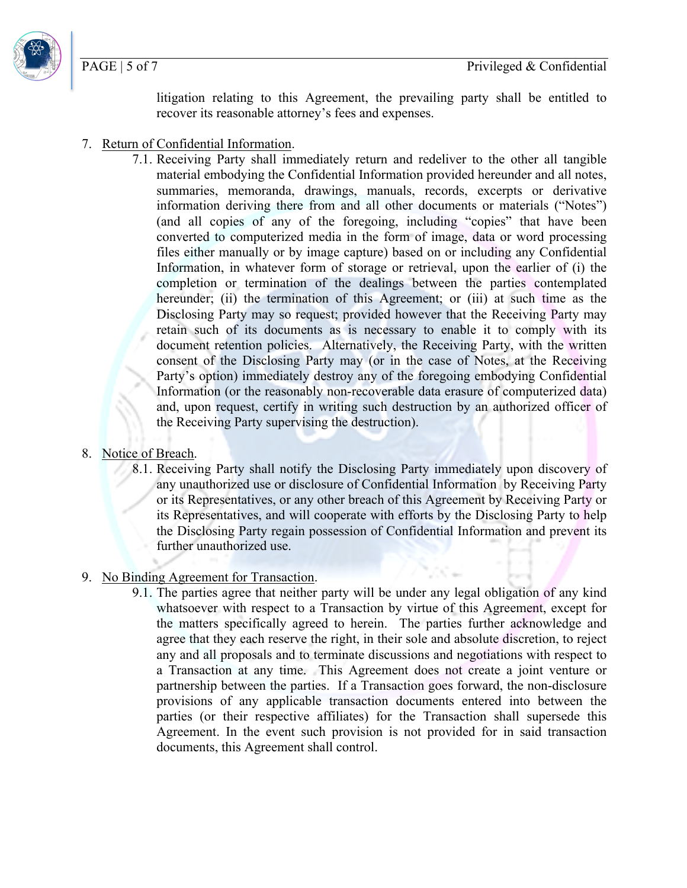PAGE | 5 of 7

litigation relating to this Agreement, the prevailing party shall be entitled to recover its reasonable attorney's fees and expenses.

- 7. Return of Confidential Information.
	- 7.1. Receiving Party shall immediately return and redeliver to the other all tangible material embodying the Confidential Information provided hereunder and all notes, summaries, memoranda, drawings, manuals, records, excerpts or derivative information deriving there from and all other documents or materials ("Notes") (and all copies of any of the foregoing, including "copies" that have been converted to computerized media in the form of image, data or word processing files either manually or by image capture) based on or including any Confidential Information, in whatever form of storage or retrieval, upon the earlier of (i) the completion or termination of the dealings between the parties contemplated hereunder; (ii) the termination of this Agreement; or (iii) at such time as the Disclosing Party may so request; provided however that the Receiving Party may retain such of its documents as is necessary to enable it to comply with its document retention policies. Alternatively, the Receiving Party, with the written consent of the Disclosing Party may (or in the case of Notes, at the Receiving Party's option) immediately destroy any of the foregoing embodying Confidential Information (or the reasonably non-recoverable data erasure of computerized data) and, upon request, certify in writing such destruction by an authorized officer of the Receiving Party supervising the destruction).
- 8. Notice of Breach.
	- 8.1. Receiving Party shall notify the Disclosing Party immediately upon discovery of any unauthorized use or disclosure of Confidential Information by Receiving Party or its Representatives, or any other breach of this Agreement by Receiving Party or its Representatives, and will cooperate with efforts by the Disclosing Party to help the Disclosing Party regain possession of Confidential Information and prevent its further unauthorized use.
- 9. No Binding Agreement for Transaction.
	- 9.1. The parties agree that neither party will be under any legal obligation of any kind whatsoever with respect to a Transaction by virtue of this Agreement, except for the matters specifically agreed to herein. The parties further acknowledge and agree that they each reserve the right, in their sole and absolute discretion, to reject any and all proposals and to terminate discussions and negotiations with respect to a Transaction at any time. This Agreement does not create a joint venture or partnership between the parties. If a Transaction goes forward, the non-disclosure provisions of any applicable transaction documents entered into between the parties (or their respective affiliates) for the Transaction shall supersede this Agreement. In the event such provision is not provided for in said transaction documents, this Agreement shall control.

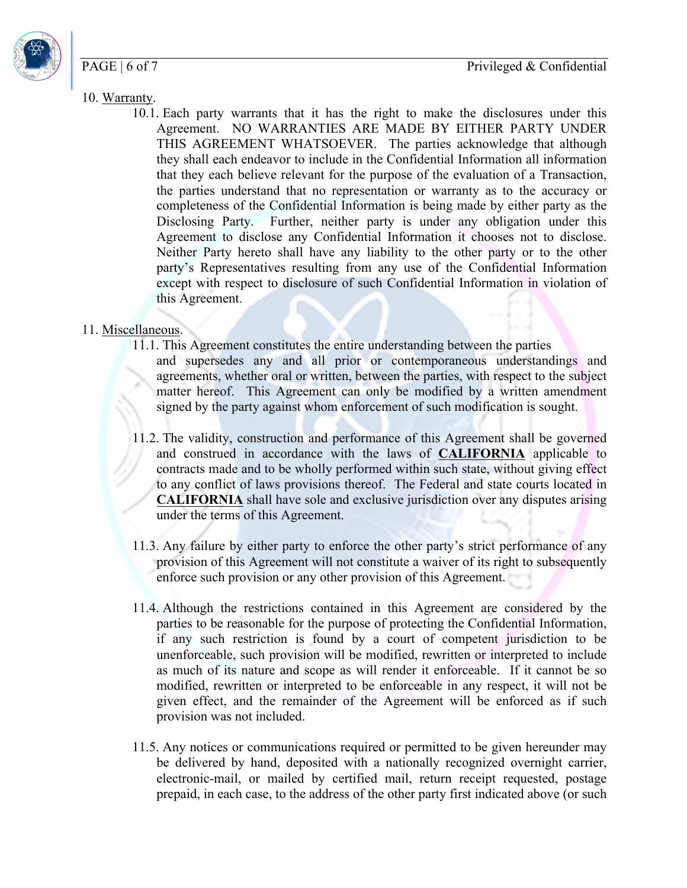Privileged & Confidential

### PAGE | 6 of 7



- 10. Warranty.
	- 10.1. Each party warrants that it has the right to make the disclosures under this Agreement. NO WARRANTIES ARE MADE BY EITHER PARTY UNDER THIS AGREEMENT WHATSOEVER. The parties acknowledge that although they shall each endeavor to include in the Confidential Information all information that they each believe relevant for the purpose of the evaluation of a Transaction, the parties understand that no representation or warranty as to the accuracy or completeness of the Confidential Information is being made by either party as the Disclosing Party. Further, neither party is under any obligation under this Agreement to disclose any Confidential Information it chooses not to disclose. Neither Party hereto shall have any liability to the other party or to the other party's Representatives resulting from any use of the Confidential Information except with respect to disclosure of such Confidential Information in violation of this Agreement.

### 11. Miscellaneous.

- 11.1. This Agreement constitutes the entire understanding between the parties and supersedes any and all prior or contemporaneous understandings and agreements, whether oral or written, between the parties, with respect to the subject matter hereof. This Agreement can only be modified by a written amendment signed by the party against whom enforcement of such modification is sought.
- 11.2. The validity, construction and performance of this Agreement shall be governed and construed in accordance with the laws of **CALIFORNIA** applicable to contracts made and to be wholly performed within such state, without giving effect to any conflict of laws provisions thereof. The Federal and state courts located in **CALIFORNIA** shall have sole and exclusive jurisdiction over any disputes arising under the terms of this Agreement.
- 11.3. Any failure by either party to enforce the other party's strict performance of any provision of this Agreement will not constitute a waiver of its right to subsequently enforce such provision or any other provision of this Agreement.
- 11.4. Although the restrictions contained in this Agreement are considered by the parties to be reasonable for the purpose of protecting the Confidential Information, if any such restriction is found by a court of competent jurisdiction to be unenforceable, such provision will be modified, rewritten or interpreted to include as much of its nature and scope as will render it enforceable. If it cannot be so modified, rewritten or interpreted to be enforceable in any respect, it will not be given effect, and the remainder of the Agreement will be enforced as if such provision was not included.
- 11.5. Any notices or communications required or permitted to be given hereunder may be delivered by hand, deposited with a nationally recognized overnight carrier, electronic-mail, or mailed by certified mail, return receipt requested, postage prepaid, in each case, to the address of the other party first indicated above (or such